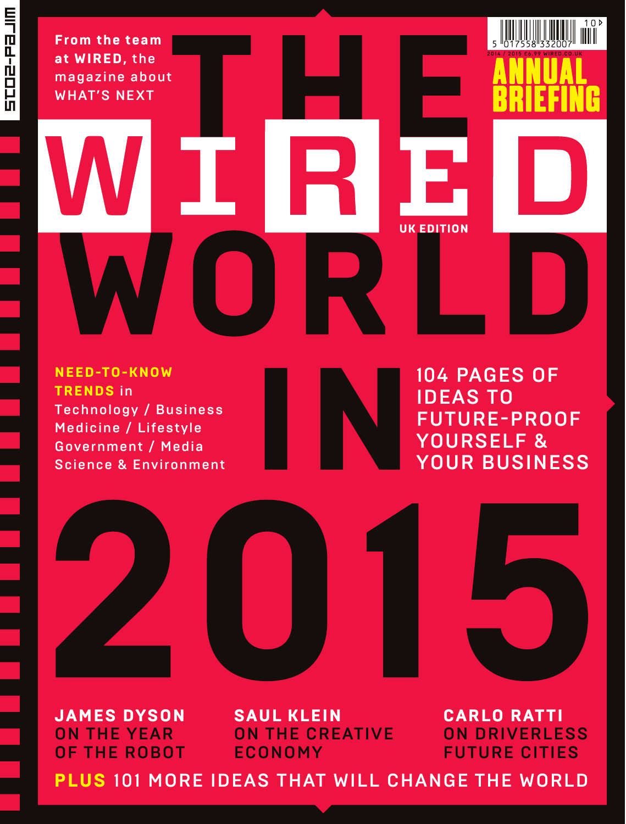**From the team at WIRED,** the magazine about WHAT'S NEXT

**NEED-TO-KNOW TRENDS** in Technology / Business Medicine / Lifestyle Government / Media Science & Environment

104 PAGES OF IDEAS TO FUTURE-PROOF YOURSELF & YOUR BUSINESS

**UK EDITION** 

2 0 1 4 / 2 0 1 5 £ 6 .99 WIRED.CO.UK

 $10<sup>b</sup>$ 



**JAMES DYSON** ON THE YEAR OF THE ROBOT

**SAUL KLEIN** ON THE CREATIVE ECONOMY

**CARLO RATTI** ON DRIVERLESS FUTURE CITIES

**PLUS** 101 MORE IDEAS THAT WILL CHANGE THE WORLD